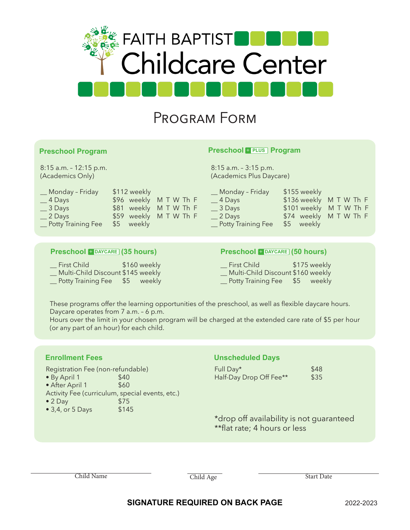

# Program Form

## **Preschool Program**

8:15 a.m. – 12:15 p.m. (Academics Only)

## **Preschool + PLUS** Program

8:15 a.m. – 3:15 p.m. (Academics Plus Daycare)

| Monday - Friday    | \$112 weekly           |  |  |  |
|--------------------|------------------------|--|--|--|
| $4$ Days           | \$96 weekly M T W Th F |  |  |  |
| 3 Days             | \$81 weekly M T W Th F |  |  |  |
| 2 Days             | \$59 weekly M T W Th F |  |  |  |
| Potty Training Fee | \$5 weekly             |  |  |  |
|                    |                        |  |  |  |

## **Preschool + DAYCARE (35 hours)**

| First Child                       |     | \$160 weekly |
|-----------------------------------|-----|--------------|
| Multi-Child Discount \$145 weekly |     |              |
| Potty Training Fee                | \$5 | weekly       |

## \_\_ 3 Days \$101 weekly M T W Th F \_\_ 2 Days \$74 weekly M T W Th F \_\_ Potty Training Fee \$5 weekly

\_\_ 4 Days \$136 weekly M T W Th F

## **Preschool + DAYCARE (50 hours)**

Monday – Friday 5155 weekly

- First Child \$175 weekly \_\_ Multi-Child Discount \$160 weekly
- \_Potty Training Fee \$5 weekly

These programs offer the learning opportunities of the preschool, as well as flexible daycare hours. Daycare operates from 7 a.m. – 6 p.m.

Hours over the limit in your chosen program will be charged at the extended care rate of \$5 per hour (or any part of an hour) for each child.

- 
- After April 1 \$60
- Activity Fee (curriculum, special events, etc.)
- $2$  Day  $$75$
- $3,4$ , or  $5$  Days  $$145$

## **Enrollment Fees Unscheduled Days**

Registration Fee (non-refundable) Full Day\* 548 • By April 1 \$40 \$40 Half-Day Drop Off Fee\*\* \$35

\*drop off availability is not guaranteed \*\*flat rate; 4 hours or less

Child Name Start Date Child Age Start Date